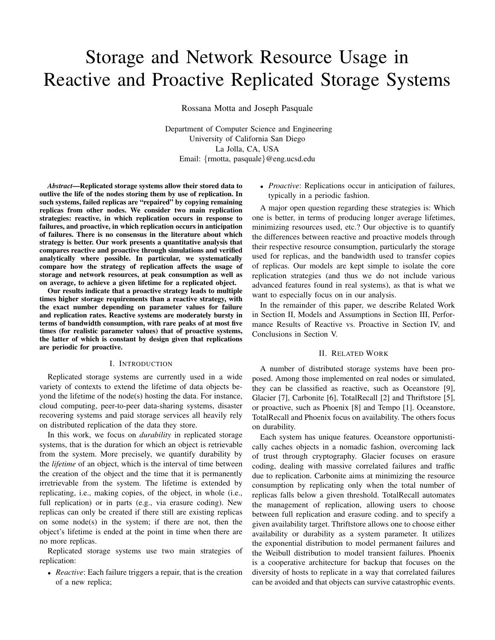# Storage and Network Resource Usage in Reactive and Proactive Replicated Storage Systems

Rossana Motta and Joseph Pasquale

Department of Computer Science and Engineering University of California San Diego La Jolla, CA, USA Email: {rmotta, pasquale}@eng.ucsd.edu

*Abstract*—Replicated storage systems allow their stored data to outlive the life of the nodes storing them by use of replication. In such systems, failed replicas are "repaired" by copying remaining replicas from other nodes. We consider two main replication strategies: reactive, in which replication occurs in response to failures, and proactive, in which replication occurs in anticipation of failures. There is no consensus in the literature about which strategy is better. Our work presents a quantitative analysis that compares reactive and proactive through simulations and verified analytically where possible. In particular, we systematically compare how the strategy of replication affects the usage of storage and network resources, at peak consumption as well as on average, to achieve a given lifetime for a replicated object.

Our results indicate that a proactive strategy leads to multiple times higher storage requirements than a reactive strategy, with the exact number depending on parameter values for failure and replication rates. Reactive systems are moderately bursty in terms of bandwidth consumption, with rare peaks of at most five times (for realistic parameter values) that of proactive systems, the latter of which is constant by design given that replications are periodic for proactive.

## I. INTRODUCTION

Replicated storage systems are currently used in a wide variety of contexts to extend the lifetime of data objects beyond the lifetime of the node(s) hosting the data. For instance, cloud computing, peer-to-peer data-sharing systems, disaster recovering systems and paid storage services all heavily rely on distributed replication of the data they store.

In this work, we focus on *durability* in replicated storage systems, that is the duration for which an object is retrievable from the system. More precisely, we quantify durability by the *lifetime* of an object, which is the interval of time between the creation of the object and the time that it is permanently irretrievable from the system. The lifetime is extended by replicating, i.e., making copies, of the object, in whole (i.e., full replication) or in parts (e.g., via erasure coding). New replicas can only be created if there still are existing replicas on some node $(s)$  in the system; if there are not, then the object's lifetime is ended at the point in time when there are no more replicas.

Replicated storage systems use two main strategies of replication:

• *Reactive*: Each failure triggers a repair, that is the creation of a new replica;

• *Proactive*: Replications occur in anticipation of failures, typically in a periodic fashion.

A major open question regarding these strategies is: Which one is better, in terms of producing longer average lifetimes, minimizing resources used, etc.? Our objective is to quantify the differences between reactive and proactive models through their respective resource consumption, particularly the storage used for replicas, and the bandwidth used to transfer copies of replicas. Our models are kept simple to isolate the core replication strategies (and thus we do not include various advanced features found in real systems), as that is what we want to especially focus on in our analysis.

In the remainder of this paper, we describe Related Work in Section II, Models and Assumptions in Section III, Performance Results of Reactive vs. Proactive in Section IV, and Conclusions in Section V.

#### II. RELATED WORK

A number of distributed storage systems have been proposed. Among those implemented on real nodes or simulated, they can be classified as reactive, such as Oceanstore [9], Glacier [7], Carbonite [6], TotalRecall [2] and Thriftstore [5], or proactive, such as Phoenix [8] and Tempo [1]. Oceanstore, TotalRecall and Phoenix focus on availability. The others focus on durability.

Each system has unique features. Oceanstore opportunistically caches objects in a nomadic fashion, overcoming lack of trust through cryptography. Glacier focuses on erasure coding, dealing with massive correlated failures and traffic due to replication. Carbonite aims at minimizing the resource consumption by replicating only when the total number of replicas falls below a given threshold. TotalRecall automates the management of replication, allowing users to choose between full replication and erasure coding. and to specify a given availability target. Thriftstore allows one to choose either availability or durability as a system parameter. It utilizes the exponential distribution to model permanent failures and the Weibull distribution to model transient failures. Phoenix is a cooperative architecture for backup that focuses on the diversity of hosts to replicate in a way that correlated failures can be avoided and that objects can survive catastrophic events.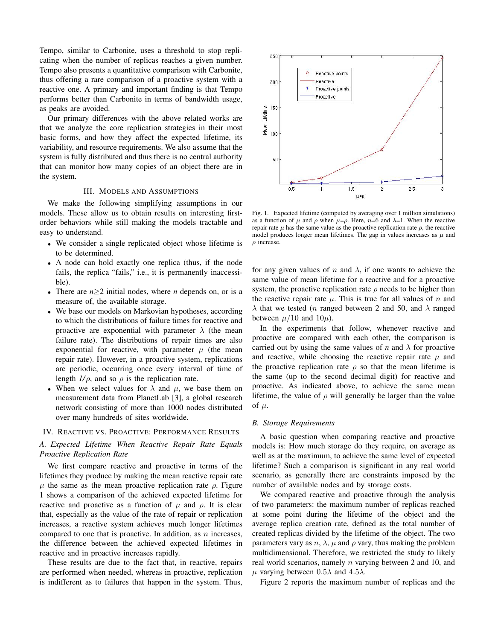Tempo, similar to Carbonite, uses a threshold to stop replicating when the number of replicas reaches a given number. Tempo also presents a quantitative comparison with Carbonite, thus offering a rare comparison of a proactive system with a reactive one. A primary and important finding is that Tempo performs better than Carbonite in terms of bandwidth usage, as peaks are avoided.

Our primary differences with the above related works are that we analyze the core replication strategies in their most basic forms, and how they affect the expected lifetime, its variability, and resource requirements. We also assume that the system is fully distributed and thus there is no central authority that can monitor how many copies of an object there are in the system.

# III. MODELS AND ASSUMPTIONS

We make the following simplifying assumptions in our models. These allow us to obtain results on interesting firstorder behaviors while still making the models tractable and easy to understand.

- We consider a single replicated object whose lifetime is to be determined.
- A node can hold exactly one replica (thus, if the node fails, the replica "fails," i.e., it is permanently inaccessible).
- There are *n*≥2 initial nodes, where *n* depends on, or is a measure of, the available storage.
- We base our models on Markovian hypotheses, according to which the distributions of failure times for reactive and proactive are exponential with parameter  $\lambda$  (the mean failure rate). The distributions of repair times are also exponential for reactive, with parameter  $\mu$  (the mean repair rate). However, in a proactive system, replications are periodic, occurring once every interval of time of length  $1/\rho$ , and so  $\rho$  is the replication rate.
- When we select values for  $\lambda$  and  $\mu$ , we base them on measurement data from PlanetLab [3], a global research network consisting of more than 1000 nodes distributed over many hundreds of sites worldwide.

# IV. REACTIVE VS. PROACTIVE: PERFORMANCE RESULTS

# *A. Expected Lifetime When Reactive Repair Rate Equals Proactive Replication Rate*

We first compare reactive and proactive in terms of the lifetimes they produce by making the mean reactive repair rate  $\mu$  the same as the mean proactive replication rate  $\rho$ . Figure 1 shows a comparison of the achieved expected lifetime for reactive and proactive as a function of  $\mu$  and  $\rho$ . It is clear that, especially as the value of the rate of repair or replication increases, a reactive system achieves much longer lifetimes compared to one that is proactive. In addition, as  $n$  increases, the difference between the achieved expected lifetimes in reactive and in proactive increases rapidly.

These results are due to the fact that, in reactive, repairs are performed when needed, whereas in proactive, replication is indifferent as to failures that happen in the system. Thus,



Fig. 1. Expected lifetime (computed by averaging over 1 million simulations) as a function of  $\mu$  and  $\rho$  when  $\mu = \rho$ . Here, n=6 and  $\lambda = 1$ . When the reactive repair rate  $\mu$  has the same value as the proactive replication rate  $\rho$ , the reactive model produces longer mean lifetimes. The gap in values increases as  $\mu$  and  $\rho$  increase.

for any given values of n and  $\lambda$ , if one wants to achieve the same value of mean lifetime for a reactive and for a proactive system, the proactive replication rate  $\rho$  needs to be higher than the reactive repair rate  $\mu$ . This is true for all values of n and  $\lambda$  that we tested (*n* ranged between 2 and 50, and  $\lambda$  ranged between  $\mu/10$  and  $10\mu$ ).

In the experiments that follow, whenever reactive and proactive are compared with each other, the comparison is carried out by using the same values of *n* and  $\lambda$  for proactive and reactive, while choosing the reactive repair rate  $\mu$  and the proactive replication rate  $\rho$  so that the mean lifetime is the same (up to the second decimal digit) for reactive and proactive. As indicated above, to achieve the same mean lifetime, the value of  $\rho$  will generally be larger than the value of  $\mu$ .

#### *B. Storage Requirements*

A basic question when comparing reactive and proactive models is: How much storage do they require, on average as well as at the maximum, to achieve the same level of expected lifetime? Such a comparison is significant in any real world scenario, as generally there are constraints imposed by the number of available nodes and by storage costs.

We compared reactive and proactive through the analysis of two parameters: the maximum number of replicas reached at some point during the lifetime of the object and the average replica creation rate, defined as the total number of created replicas divided by the lifetime of the object. The two parameters vary as  $n$ ,  $\lambda$ ,  $\mu$  and  $\rho$  vary, thus making the problem multidimensional. Therefore, we restricted the study to likely real world scenarios, namely  $n$  varying between 2 and 10, and  $\mu$  varying between 0.5 $\lambda$  and 4.5 $\lambda$ .

Figure 2 reports the maximum number of replicas and the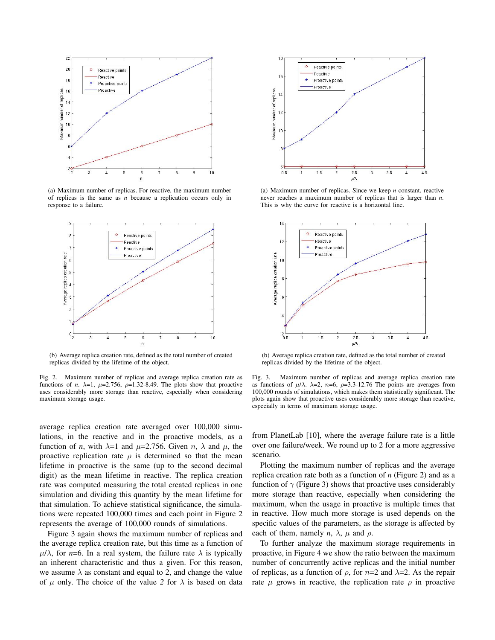

(a) Maximum number of replicas. For reactive, the maximum number of replicas is the same as *n* because a replication occurs only in response to a failure.



(b) Average replica creation rate, defined as the total number of created replicas divided by the lifetime of the object.

Fig. 2. Maximum number of replicas and average replica creation rate as functions of *n*.  $\lambda=1$ ,  $\mu=2.756$ ,  $\rho=1.32-8.49$ . The plots show that proactive uses considerably more storage than reactive, especially when considering maximum storage usage.

average replica creation rate averaged over 100,000 simulations, in the reactive and in the proactive models, as a function of *n*, with  $\lambda=1$  and  $\mu=2.756$ . Given *n*,  $\lambda$  and  $\mu$ , the proactive replication rate  $\rho$  is determined so that the mean lifetime in proactive is the same (up to the second decimal digit) as the mean lifetime in reactive. The replica creation rate was computed measuring the total created replicas in one simulation and dividing this quantity by the mean lifetime for that simulation. To achieve statistical significance, the simulations were repeated 100,000 times and each point in Figure 2 represents the average of 100,000 rounds of simulations.

Figure 3 again shows the maximum number of replicas and the average replica creation rate, but this time as a function of  $\mu/\lambda$ , for *n*=6. In a real system, the failure rate  $\lambda$  is typically an inherent characteristic and thus a given. For this reason, we assume  $\lambda$  as constant and equal to 2, and change the value of  $\mu$  only. The choice of the value 2 for  $\lambda$  is based on data



(a) Maximum number of replicas. Since we keep *n* constant, reactive never reaches a maximum number of replicas that is larger than *n*. This is why the curve for reactive is a horizontal line.



(b) Average replica creation rate, defined as the total number of created replicas divided by the lifetime of the object.

Fig. 3. Maximum number of replicas and average replica creation rate as functions of  $\mu/\lambda$ .  $\lambda=2$ ,  $n=6$ ,  $\rho=3.3-12.76$  The points are averages from 100,000 rounds of simulations, which makes them statistically significant. The plots again show that proactive uses considerably more storage than reactive, especially in terms of maximum storage usage.

from PlanetLab [10], where the average failure rate is a little over one failure/week. We round up to 2 for a more aggressive scenario.

Plotting the maximum number of replicas and the average replica creation rate both as a function of *n* (Figure 2) and as a function of  $\gamma$  (Figure 3) shows that proactive uses considerably more storage than reactive, especially when considering the maximum, when the usage in proactive is multiple times that in reactive. How much more storage is used depends on the specific values of the parameters, as the storage is affected by each of them, namely  $n$ ,  $\lambda$ ,  $\mu$  and  $\rho$ .

To further analyze the maximum storage requirements in proactive, in Figure 4 we show the ratio between the maximum number of concurrently active replicas and the initial number of replicas, as a function of  $\rho$ , for  $n=2$  and  $\lambda=2$ . As the repair rate  $\mu$  grows in reactive, the replication rate  $\rho$  in proactive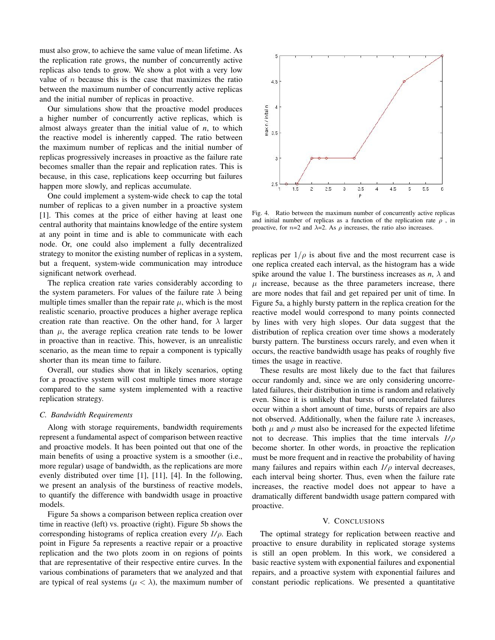must also grow, to achieve the same value of mean lifetime. As the replication rate grows, the number of concurrently active replicas also tends to grow. We show a plot with a very low value of  $n$  because this is the case that maximizes the ratio between the maximum number of concurrently active replicas and the initial number of replicas in proactive.

Our simulations show that the proactive model produces a higher number of concurrently active replicas, which is almost always greater than the initial value of *n*, to which the reactive model is inherently capped. The ratio between the maximum number of replicas and the initial number of replicas progressively increases in proactive as the failure rate becomes smaller than the repair and replication rates. This is because, in this case, replications keep occurring but failures happen more slowly, and replicas accumulate.

One could implement a system-wide check to cap the total number of replicas to a given number in a proactive system [1]. This comes at the price of either having at least one central authority that maintains knowledge of the entire system at any point in time and is able to communicate with each node. Or, one could also implement a fully decentralized strategy to monitor the existing number of replicas in a system, but a frequent, system-wide communication may introduce significant network overhead.

The replica creation rate varies considerably according to the system parameters. For values of the failure rate  $\lambda$  being multiple times smaller than the repair rate  $\mu$ , which is the most realistic scenario, proactive produces a higher average replica creation rate than reactive. On the other hand, for  $\lambda$  larger than  $\mu$ , the average replica creation rate tends to be lower in proactive than in reactive. This, however, is an unrealistic scenario, as the mean time to repair a component is typically shorter than its mean time to failure.

Overall, our studies show that in likely scenarios, opting for a proactive system will cost multiple times more storage compared to the same system implemented with a reactive replication strategy.

#### *C. Bandwidth Requirements*

Along with storage requirements, bandwidth requirements represent a fundamental aspect of comparison between reactive and proactive models. It has been pointed out that one of the main benefits of using a proactive system is a smoother (i.e., more regular) usage of bandwidth, as the replications are more evenly distributed over time [1], [11], [4]. In the following, we present an analysis of the burstiness of reactive models, to quantify the difference with bandwidth usage in proactive models.

Figure 5a shows a comparison between replica creation over time in reactive (left) vs. proactive (right). Figure 5b shows the corresponding histograms of replica creation every *1/*ρ. Each point in Figure 5a represents a reactive repair or a proactive replication and the two plots zoom in on regions of points that are representative of their respective entire curves. In the various combinations of parameters that we analyzed and that are typical of real systems ( $\mu < \lambda$ ), the maximum number of



Fig. 4. Ratio between the maximum number of concurrently active replicas and initial number of replicas as a function of the replication rate  $\rho$ , in proactive, for  $n=2$  and  $\lambda=2$ . As  $\rho$  increases, the ratio also increases.

replicas per  $1/\rho$  is about five and the most recurrent case is one replica created each interval, as the histogram has a wide spike around the value 1. The burstiness increases as  $n$ ,  $\lambda$  and  $\mu$  increase, because as the three parameters increase, there are more nodes that fail and get repaired per unit of time. In Figure 5a, a highly bursty pattern in the replica creation for the reactive model would correspond to many points connected by lines with very high slopes. Our data suggest that the distribution of replica creation over time shows a moderately bursty pattern. The burstiness occurs rarely, and even when it occurs, the reactive bandwidth usage has peaks of roughly five times the usage in reactive.

These results are most likely due to the fact that failures occur randomly and, since we are only considering uncorrelated failures, their distribution in time is random and relatively even. Since it is unlikely that bursts of uncorrelated failures occur within a short amount of time, bursts of repairs are also not observed. Additionally, when the failure rate  $\lambda$  increases, both  $\mu$  and  $\rho$  must also be increased for the expected lifetime not to decrease. This implies that the time intervals *1/*ρ become shorter. In other words, in proactive the replication must be more frequent and in reactive the probability of having many failures and repairs within each  $1/\rho$  interval decreases, each interval being shorter. Thus, even when the failure rate increases, the reactive model does not appear to have a dramatically different bandwidth usage pattern compared with proactive.

### V. CONCLUSIONS

The optimal strategy for replication between reactive and proactive to ensure durability in replicated storage systems is still an open problem. In this work, we considered a basic reactive system with exponential failures and exponential repairs, and a proactive system with exponential failures and constant periodic replications. We presented a quantitative